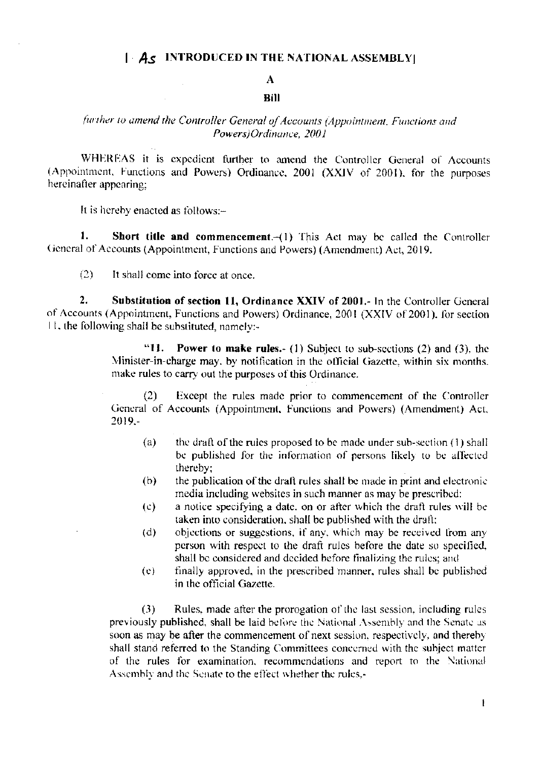### $|\cdot A_{\mathcal{S}}|$  INTRODUCED IN THE NATIONAL ASSEMBLY

## $\Lambda$

#### **Bill**

# further to amend the Controller General of Accounts (Appointment, Functions and Powers)Ordinance, 2001

WHEREAS it is expedient further to amend the Controller General of Accounts (Appointment, Functions and Powers) Ordinance, 2001 (XXIV of 2001), for the purposes hereinafter appearing;

It is hereby enacted as follows:-

 $\mathbf{1}$ . **Short title and commencement.**  $-1$ ) This Act may be called the Controller General of Accounts (Appointment, Functions and Powers) (Amendment) Act, 2019.

 $(2)$ It shall come into force at once.

 $2.$ Substitution of section 11, Ordinance XXIV of 2001.- In the Controller General of Accounts (Appointment, Functions and Powers) Ordinance, 2001 (XXIV of 2001), for section 11, the following shall be substituted, namely:-

> "11. **Power to make rules.** (1) Subject to sub-sections (2) and (3), the Minister-in-charge may, by notification in the official Gazette, within six months. make rules to carry out the purposes of this Ordinance.

> Except the rules made prior to commencement of the Controller  $(2)$ General of Accounts (Appointment, Functions and Powers) (Amendment) Act, 2019.-

- the draft of the rules proposed to be made under sub-section (1) shall  $(a)$ be published for the information of persons likely to be affected thereby:
- $(b)$ the publication of the draft rules shall be made in print and electronic media including websites in such manner as may be prescribed:
- a notice specifying a date, on or after which the draft rules will be  $(c)$ taken into consideration, shall be published with the draft;
- objections or suggestions, if any, which may be received from any  $(d)$ person with respect to the draft rules before the date so specified. shall be considered and decided before finalizing the rules; and
- finally approved, in the prescribed manner, rules shall be published  $(e)$ in the official Gazette.

Rules, made after the prorogation of the last session, including rules  $(3)$ previously published, shall be laid before the National Assembly and the Senate as soon as may be after the commencement of next session, respectively, and thereby shall stand referred to the Standing Committees concerned with the subject matter of the rules for examination, recommendations and report to the National Assembly and the Senate to the effect whether the rules.-